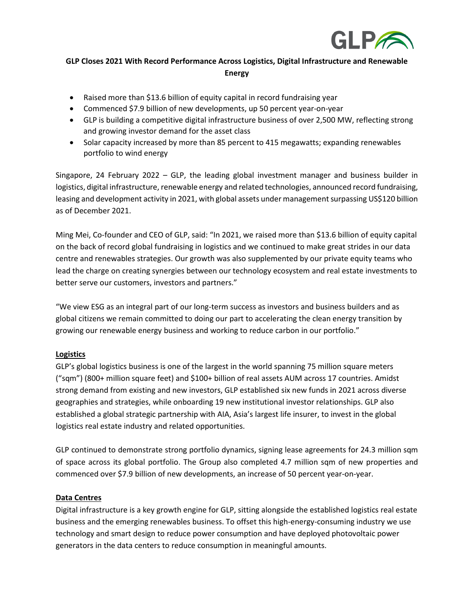

# **GLP Closes 2021 With Record Performance Across Logistics, Digital Infrastructure and Renewable Energy**

- Raised more than \$13.6 billion of equity capital in record fundraising year
- Commenced \$7.9 billion of new developments, up 50 percent year-on-year
- GLP is building a competitive digital infrastructure business of over 2,500 MW, reflecting strong and growing investor demand for the asset class
- Solar capacity increased by more than 85 percent to 415 megawatts; expanding renewables portfolio to wind energy

Singapore, 24 February 2022 – GLP, the leading global investment manager and business builder in logistics, digital infrastructure, renewable energy and related technologies, announced record fundraising, leasing and development activity in 2021, with global assets under management surpassing US\$120 billion as of December 2021.

Ming Mei, Co-founder and CEO of GLP, said: "In 2021, we raised more than \$13.6 billion of equity capital on the back of record global fundraising in logistics and we continued to make great strides in our data centre and renewables strategies. Our growth was also supplemented by our private equity teams who lead the charge on creating synergies between our technology ecosystem and real estate investments to better serve our customers, investors and partners."

"We view ESG as an integral part of our long-term success as investors and business builders and as global citizens we remain committed to doing our part to accelerating the clean energy transition by growing our renewable energy business and working to reduce carbon in our portfolio."

## **Logistics**

GLP's global logistics business is one of the largest in the world spanning 75 million square meters ("sqm") (800+ million square feet) and \$100+ billion of real assets AUM across 17 countries. Amidst strong demand from existing and new investors, GLP established six new funds in 2021 across diverse geographies and strategies, while onboarding 19 new institutional investor relationships. GLP also established a global strategic partnership with AIA, Asia's largest life insurer, to invest in the global logistics real estate industry and related opportunities.

GLP continued to demonstrate strong portfolio dynamics, signing lease agreements for 24.3 million sqm of space across its global portfolio. The Group also completed 4.7 million sqm of new properties and commenced over \$7.9 billion of new developments, an increase of 50 percent year-on-year.

## **Data Centres**

Digital infrastructure is a key growth engine for GLP, sitting alongside the established logistics real estate business and the emerging renewables business. To offset this high-energy-consuming industry we use technology and smart design to reduce power consumption and have deployed photovoltaic power generators in the data centers to reduce consumption in meaningful amounts.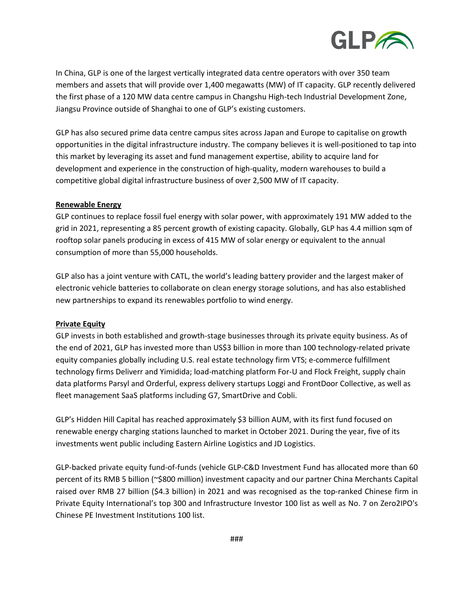

In China, GLP is one of the largest vertically integrated data centre operators with over 350 team members and assets that will provide over 1,400 megawatts (MW) of IT capacity. GLP recently delivered the first phase of a 120 MW data centre campus in Changshu High-tech Industrial Development Zone, Jiangsu Province outside of Shanghai to one of GLP's existing customers.

GLP has also secured prime data centre campus sites across Japan and Europe to capitalise on growth opportunities in the digital infrastructure industry. The company believes it is well-positioned to tap into this market by leveraging its asset and fund management expertise, ability to acquire land for development and experience in the construction of high-quality, modern warehouses to build a competitive global digital infrastructure business of over 2,500 MW of IT capacity.

### **Renewable Energy**

GLP continues to replace fossil fuel energy with solar power, with approximately 191 MW added to the grid in 2021, representing a 85 percent growth of existing capacity. Globally, GLP has 4.4 million sqm of rooftop solar panels producing in excess of 415 MW of solar energy or equivalent to the annual consumption of more than 55,000 households.

GLP also has a joint venture with CATL, the world's leading battery provider and the largest maker of electronic vehicle batteries to collaborate on clean energy storage solutions, and has also established new partnerships to expand its renewables portfolio to wind energy.

#### **Private Equity**

GLP invests in both established and growth-stage businesses through its private equity business. As of the end of 2021, GLP has invested more than US\$3 billion in more than 100 technology-related private equity companies globally including U.S. real estate technology firm VTS; e-commerce fulfillment technology firms Deliverr and Yimidida; load-matching platform For-U and Flock Freight, supply chain data platforms Parsyl and Orderful, express delivery startups Loggi and FrontDoor Collective, as well as fleet management SaaS platforms including G7, SmartDrive and Cobli.

GLP's Hidden Hill Capital has reached approximately \$3 billion AUM, with its first fund focused on renewable energy charging stations launched to market in October 2021. During the year, five of its investments went public including Eastern Airline Logistics and JD Logistics.

GLP-backed private equity fund-of-funds (vehicle GLP-C&D Investment Fund has allocated more than 60 percent of its RMB 5 billion (~\$800 million) investment capacity and our partner China Merchants Capital raised over RMB 27 billion (\$4.3 billion) in 2021 and was recognised as the top-ranked Chinese firm in Private Equity International's top 300 and Infrastructure Investor 100 list as well as No. 7 on Zero2IPO's Chinese PE Investment Institutions 100 list.